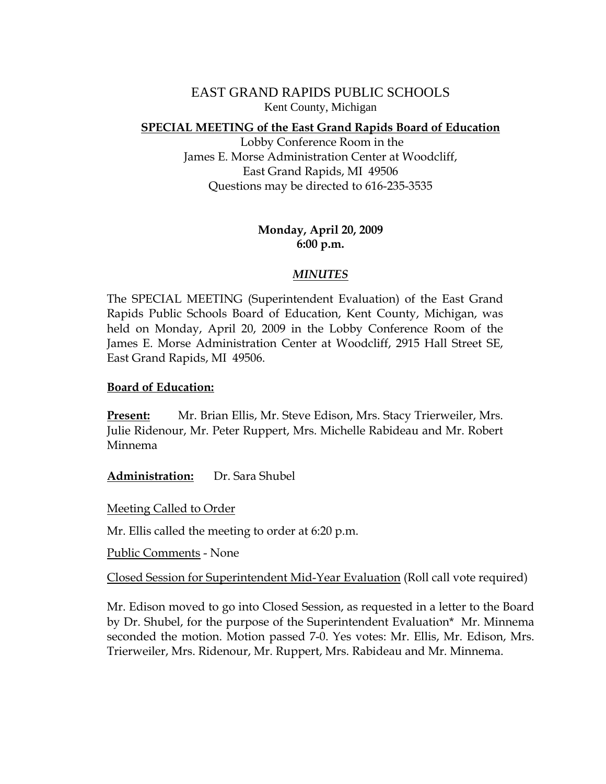EAST GRAND RAPIDS PUBLIC SCHOOLS Kent County, Michigan

## **SPECIAL MEETING of the East Grand Rapids Board of Education**

 Lobby Conference Room in the James E. Morse Administration Center at Woodcliff, East Grand Rapids, MI 49506 Questions may be directed to 616-235-3535

## **Monday, April 20, 2009 6:00 p.m.**

## *MINUTES*

The SPECIAL MEETING (Superintendent Evaluation) of the East Grand Rapids Public Schools Board of Education, Kent County, Michigan, was held on Monday, April 20, 2009 in the Lobby Conference Room of the James E. Morse Administration Center at Woodcliff, 2915 Hall Street SE, East Grand Rapids, MI 49506.

## **Board of Education:**

**Present:** Mr. Brian Ellis, Mr. Steve Edison, Mrs. Stacy Trierweiler, Mrs. Julie Ridenour, Mr. Peter Ruppert, Mrs. Michelle Rabideau and Mr. Robert Minnema

**Administration:** Dr. Sara Shubel

Meeting Called to Order

Mr. Ellis called the meeting to order at 6:20 p.m.

Public Comments - None

Closed Session for Superintendent Mid-Year Evaluation (Roll call vote required)

Mr. Edison moved to go into Closed Session, as requested in a letter to the Board by Dr. Shubel, for the purpose of the Superintendent Evaluation\* Mr. Minnema seconded the motion. Motion passed 7-0. Yes votes: Mr. Ellis, Mr. Edison, Mrs. Trierweiler, Mrs. Ridenour, Mr. Ruppert, Mrs. Rabideau and Mr. Minnema.